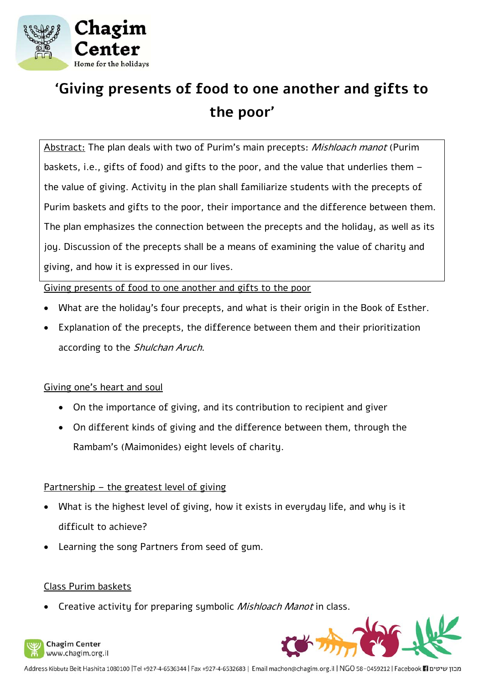

# **'Giving presents of food to one another and gifts to the poor'**

Abstract: The plan deals with two of Purim's main precepts: Mishloach manot (Purim baskets, i.e., gifts of food) and gifts to the poor, and the value that underlies them – the value of giving. Activity in the plan shall familiarize students with the precepts of Purim baskets and gifts to the poor, their importance and the difference between them. The plan emphasizes the connection between the precepts and the holiday, as well as its joy. Discussion of the precepts shall be a means of examining the value of charity and giving, and how it is expressed in our lives.

Giving presents of food to one another and gifts to the poor

- What are the holiday's four precepts, and what is their origin in the Book of Esther.
- Explanation of the precepts, the difference between them and their prioritization according to the Shulchan Aruch.

### Giving one's heart and soul

- On the importance of giving, and its contribution to recipient and giver
- On different kinds of giving and the difference between them, through the Rambam's (Maimonides) eight levels of charity.

### Partnership – the greatest level of giving

- What is the highest level of giving, how it exists in everyday life, and why is it difficult to achieve?
- Learning the song Partners from seed of gum.

### Class Purim baskets

Creative activity for preparing symbolic *Mishloach Manot* in class.





מבון שיטים Facebook 11 ו-Address Kibbutz Beit Hashita 1080100 |Tel +927-4-6536344 | Fax +927-4-6532683 | Email machon@chagim.org.il | NGO 58-0459212 | Facebook 1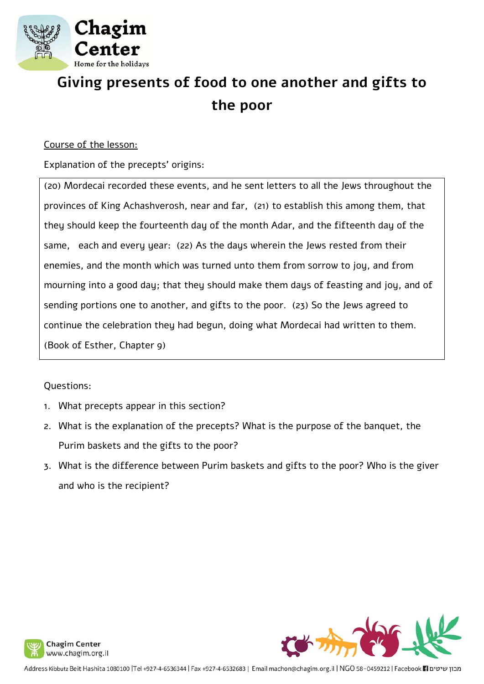

# **Giving presents of food to one another and gifts to the poor**

#### Course of the lesson:

Explanation of the precepts' origins:

(20) Mordecai recorded these events, and he sent letters to all the Jews throughout the provinces of King Achashverosh, near and far, (21) to establish this among them, that they should keep the fourteenth day of the month Adar, and the fifteenth day of the same, each and every year: (22) As the days wherein the Jews rested from their enemies, and the month which was turned unto them from sorrow to joy, and from mourning into a good day; that they should make them days of feasting and joy, and of sending portions one to another, and gifts to the poor. (23) So the Jews agreed to continue the celebration they had begun, doing what Mordecai had written to them. (Book of Esther, Chapter 9)

### Questions:

- 1. What precepts appear in this section?
- 2. What is the explanation of the precepts? What is the purpose of the banquet, the Purim baskets and the gifts to the poor?
- 3. What is the difference between Purim baskets and gifts to the poor? Who is the giver and who is the recipient?





מבון שיטים Facebook 11 ו-Address Kibbutz Beit Hashita 1080100 |Tel +927-4-6536344 | Fax +927-4-6532683 | Email machon@chagim.org.il | NGO 58-0459212 | Facebook 1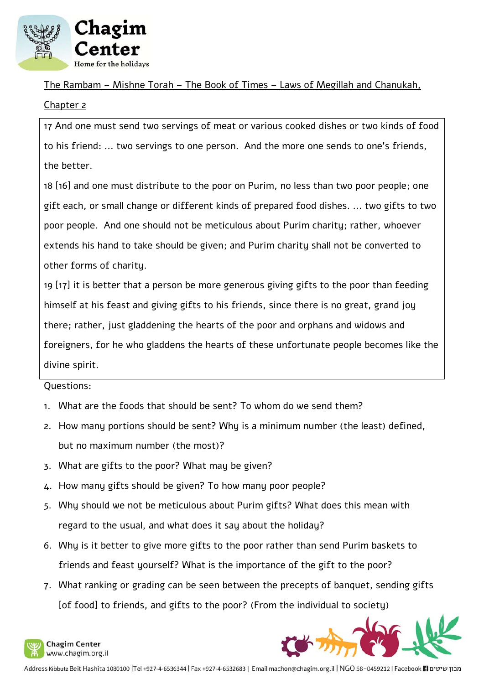

The Rambam – Mishne Torah – The Book of Times – Laws of Megillah and Chanukah,

### Chapter 2

17 And one must send two servings of meat or various cooked dishes or two kinds of food to his friend: ... two servings to one person. And the more one sends to one's friends, the better.

18 [16] and one must distribute to the poor on Purim, no less than two poor people; one gift each, or small change or different kinds of prepared food dishes. ... two gifts to two poor people. And one should not be meticulous about Purim charity; rather, whoever extends his hand to take should be given; and Purim charity shall not be converted to other forms of charity.

19 [17] it is better that a person be more generous giving gifts to the poor than feeding himself at his feast and giving gifts to his friends, since there is no great, grand joy there; rather, just gladdening the hearts of the poor and orphans and widows and foreigners, for he who gladdens the hearts of these unfortunate people becomes like the divine spirit.

### Questions:

- 1. What are the foods that should be sent? To whom do we send them?
- 2. How many portions should be sent? Why is a minimum number (the least) defined, but no maximum number (the most)?
- 3. What are gifts to the poor? What may be given?
- 4. How many gifts should be given? To how many poor people?
- 5. Why should we not be meticulous about Purim gifts? What does this mean with regard to the usual, and what does it say about the holiday?
- 6. Why is it better to give more gifts to the poor rather than send Purim baskets to friends and feast yourself? What is the importance of the gift to the poor?
- 7. What ranking or grading can be seen between the precepts of banquet, sending gifts [of food] to friends, and gifts to the poor? (From the individual to society)



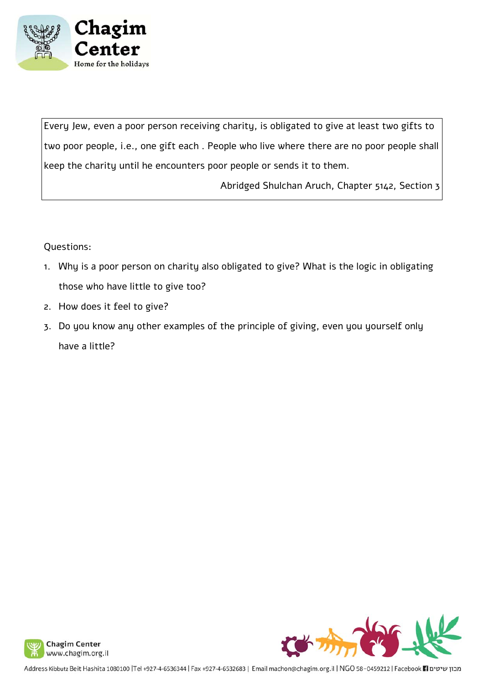

Every Jew, even a poor person receiving charity, is obligated to give at least two gifts to two poor people, i.e., one gift each . People who live where there are no poor people shall keep the charity until he encounters poor people or sends it to them.

Abridged Shulchan Aruch, Chapter 5142, Section 3

### Questions:

- 1. Why is a poor person on charity also obligated to give? What is the logic in obligating those who have little to give too?
- 2. How does it feel to give?
- 3. Do you know any other examples of the principle of giving, even you yourself only have a little?



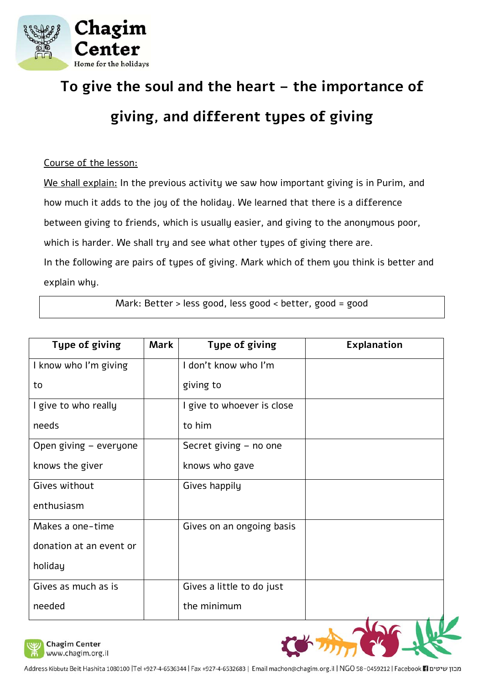

# **To give the soul and the heart – the importance of giving, and different types of giving**

### Course of the lesson:

We shall explain: In the previous activity we saw how important giving is in Purim, and how much it adds to the joy of the holiday. We learned that there is a difference between giving to friends, which is usually easier, and giving to the anonymous poor, which is harder. We shall try and see what other types of giving there are. In the following are pairs of types of giving. Mark which of them you think is better and explain why.

Mark: Better > less good, less good < better, good = good

| <b>Type of giving</b>   | <b>Mark</b> | Type of giving             | Explanation |
|-------------------------|-------------|----------------------------|-------------|
| I know who I'm giving   |             | I don't know who I'm       |             |
| to                      |             | giving to                  |             |
| I give to who really    |             | I give to whoever is close |             |
| needs                   |             | to him                     |             |
| Open giving - everyone  |             | Secret giving - no one     |             |
| knows the giver         |             | knows who gave             |             |
| Gives without           |             | Gives happily              |             |
| enthusiasm              |             |                            |             |
| Makes a one-time        |             | Gives on an ongoing basis  |             |
| donation at an event or |             |                            |             |
| holiday                 |             |                            |             |
| Gives as much as is     |             | Gives a little to do just  |             |
| needed                  |             | the minimum                |             |



**Chagim Center** www.chagim.org.il

מבון שיטים Facebook 11 Bashita 1080100 |Tel +927-4-6536344 | Fax +927-4-6532683 | Email machon@chagim.org.il | NGO 58-0459212 | Facebook 11 מבון שיטים Facebook 11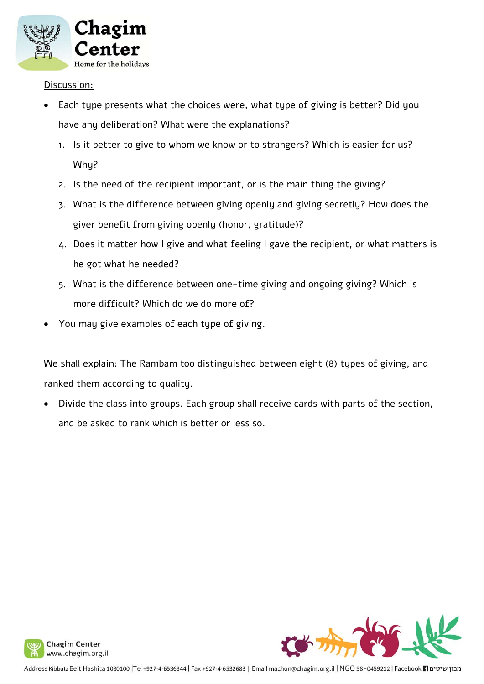

Discussion:

- Each type presents what the choices were, what type of giving is better? Did you have any deliberation? What were the explanations?
	- 1. Is it better to give to whom we know or to strangers? Which is easier for us? Why?
	- 2. Is the need of the recipient important, or is the main thing the giving?
	- 3. What is the difference between giving openly and giving secretly? How does the giver benefit from giving openly (honor, gratitude)?
	- 4. Does it matter how I give and what feeling I gave the recipient, or what matters is he got what he needed?
	- 5. What is the difference between one-time giving and ongoing giving? Which is more difficult? Which do we do more of?
- You may give examples of each type of giving.

We shall explain: The Rambam too distinguished between eight (8) types of giving, and ranked them according to quality.

 Divide the class into groups. Each group shall receive cards with parts of the section, and be asked to rank which is better or less so.



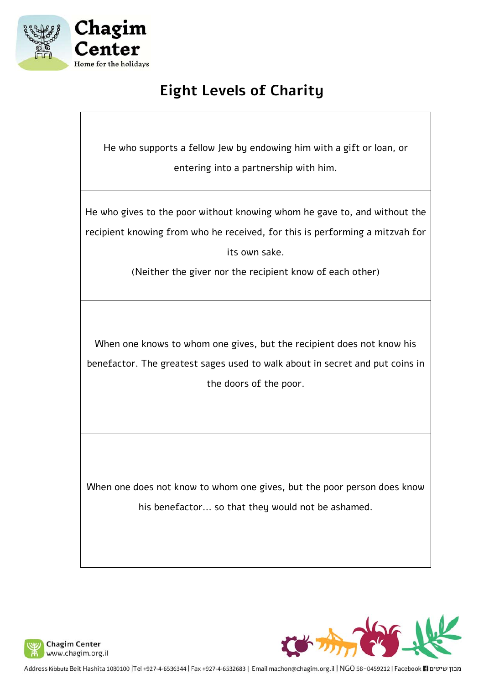

## **Eight Levels of Charity**

He who supports a fellow Jew by endowing him with a gift or loan, or entering into a partnership with him.

He who gives to the poor without knowing whom he gave to, and without the recipient knowing from who he received, for this is performing a mitzvah for its own sake.

(Neither the giver nor the recipient know of each other)

When one knows to whom one gives, but the recipient does not know his benefactor. The greatest sages used to walk about in secret and put coins in the doors of the poor.

When one does not know to whom one gives, but the poor person does know his benefactor... so that they would not be ashamed.





מבון שיטים Facebook ri | Address Kibbutz Beit Hashita 1080100 |Tel +927-4-6536344 | Fax +927-4-6532683 | Email machon@chagim.org.il | NGO 58-0459212 | Facebook ri urun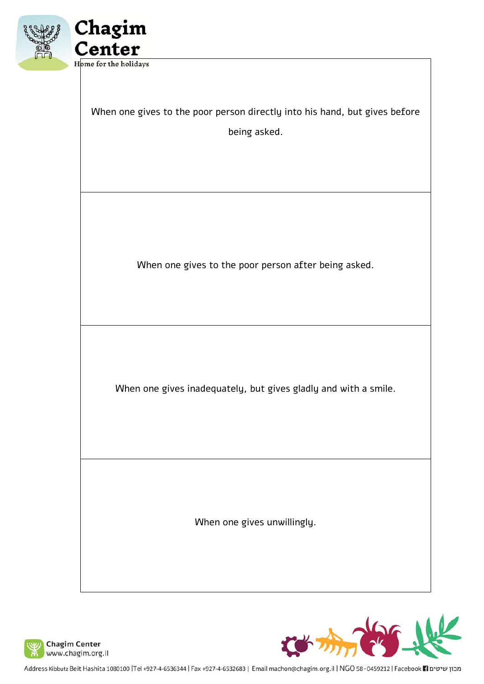



When one gives to the poor person directly into his hand, but gives before being asked.

When one gives to the poor person after being asked.

When one gives inadequately, but gives gladly and with a smile.

When one gives unwillingly.



Address Kibbutz Beit Hashita 1080100 |Tel +927-4-6536344 | Fax +927-4-6532683 | Email machon@chagim.org.il | NGO 58-0459212 | Facebook 1 מבון שיטים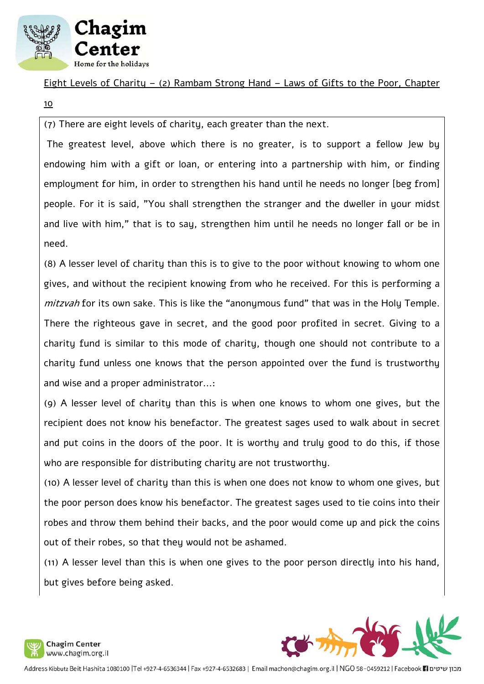

Eight Levels of Charity – (2) Rambam Strong Hand – Laws of Gifts to the Poor, Chapter

10

(7) There are eight levels of charity, each greater than the next.

 The greatest level, above which there is no greater, is to support a fellow Jew by endowing him with a gift or loan, or entering into a partnership with him, or finding employment for him, in order to strengthen his hand until he needs no longer [beg from] people. For it is said, "You shall strengthen the stranger and the dweller in your midst and live with him," that is to say, strengthen him until he needs no longer fall or be in need.

(8) A lesser level of charity than this is to give to the poor without knowing to whom one gives, and without the recipient knowing from who he received. For this is performing a mitzvah for its own sake. This is like the "anonymous fund" that was in the Holy Temple. There the righteous gave in secret, and the good poor profited in secret. Giving to a charity fund is similar to this mode of charity, though one should not contribute to a charity fund unless one knows that the person appointed over the fund is trustworthy and wise and a proper administrator...:

(9) A lesser level of charity than this is when one knows to whom one gives, but the recipient does not know his benefactor. The greatest sages used to walk about in secret and put coins in the doors of the poor. It is worthy and truly good to do this, if those who are responsible for distributing charity are not trustworthy.

(10) A lesser level of charity than this is when one does not know to whom one gives, but the poor person does know his benefactor. The greatest sages used to tie coins into their robes and throw them behind their backs, and the poor would come up and pick the coins out of their robes, so that they would not be ashamed.

(11) A lesser level than this is when one gives to the poor person directly into his hand, but gives before being asked.

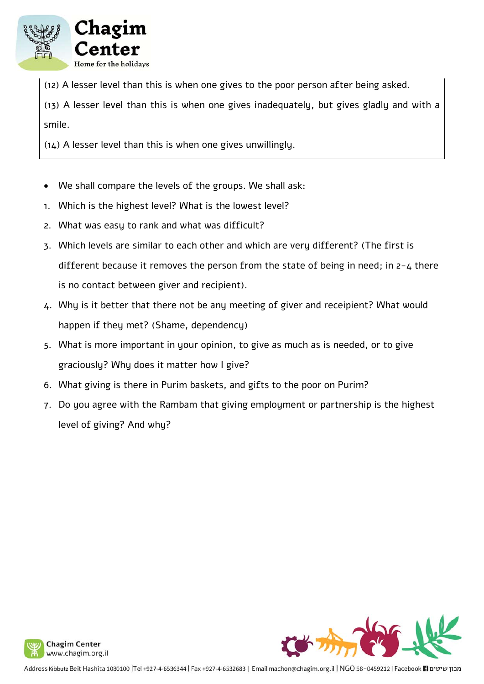

(12) A lesser level than this is when one gives to the poor person after being asked.

(13) A lesser level than this is when one gives inadequately, but gives gladly and with a smile.

(14) A lesser level than this is when one gives unwillingly.

- We shall compare the levels of the groups. We shall ask:
- 1. Which is the highest level? What is the lowest level?
- 2. What was easy to rank and what was difficult?
- 3. Which levels are similar to each other and which are very different? (The first is different because it removes the person from the state of being in need; in 2-4 there is no contact between giver and recipient).
- 4. Why is it better that there not be any meeting of giver and receipient? What would happen if they met? (Shame, dependency)
- 5. What is more important in your opinion, to give as much as is needed, or to give graciously? Why does it matter how I give?
- 6. What giving is there in Purim baskets, and gifts to the poor on Purim?
- 7. Do you agree with the Rambam that giving employment or partnership is the highest level of giving? And why?





מבון שיטים Facebook **F1 ו Address Kibbutz Beit Hashita 1080100 |Tel +927-4-6536344 | Fax +927-4-6532683 | Email machon@chagim.org.il | NGO 58-0459212 | Facebook F1 מבון שיטים**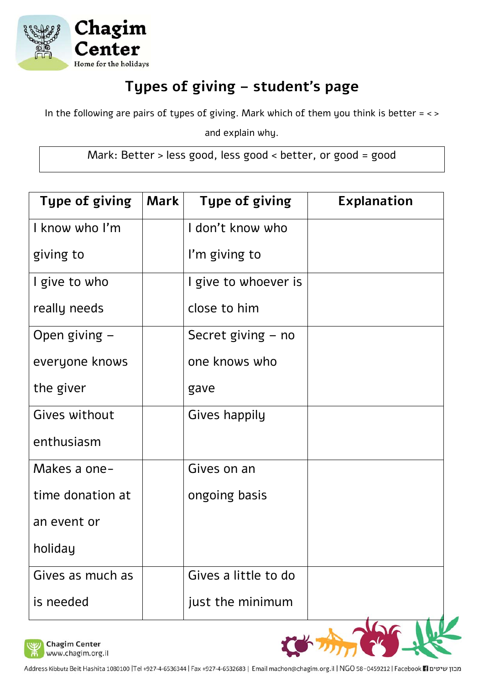

# **Types of giving – student's page**

In the following are pairs of types of giving. Mark which of them you think is better  $=$  < >

and explain why.

Mark: Better > less good, less good < better, or good = good

| <b>Type of giving</b> | Mark | <b>Type of giving</b> | <b>Explanation</b> |
|-----------------------|------|-----------------------|--------------------|
| I know who I'm        |      | I don't know who      |                    |
| giving to             |      | I'm giving to         |                    |
| I give to who         |      | I give to whoever is  |                    |
| really needs          |      | close to him          |                    |
| Open giving $-$       |      | Secret giving – no    |                    |
| everyone knows        |      | one knows who         |                    |
| the giver             |      | gave                  |                    |
| Gives without         |      | Gives happily         |                    |
| enthusiasm            |      |                       |                    |
| Makes a one-          |      | Gives on an           |                    |
| time donation at      |      | ongoing basis         |                    |
| an event or           |      |                       |                    |
| holiday               |      |                       |                    |
| Gives as much as      |      | Gives a little to do  |                    |
| is needed             |      | just the minimum      |                    |



**Chagim Center** www.chagim.org.il

Address Kibbutz Beit Hashita 1080100 |Tel +927-4-6536344 | Fax +927-4-6532683 | Email machon@chagim.org.il | NGO 58-0459212 | Facebook 1 מבון שיטים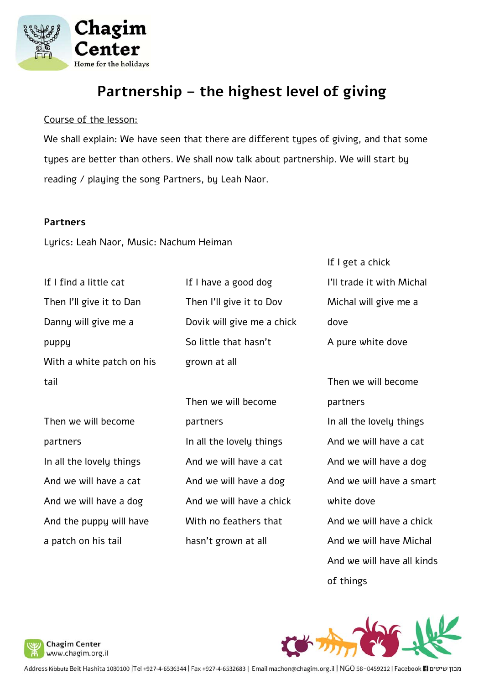

### **Partnership – the highest level of giving**

#### Course of the lesson:

We shall explain: We have seen that there are different types of giving, and that some types are better than others. We shall now talk about partnership. We will start by reading / playing the song Partners, by Leah Naor.

#### **Partners**

Lyrics: Leah Naor, Music: Nachum Heiman

| If I find a little cat    | If I have a good dog       | I'll trade it with Michal  |
|---------------------------|----------------------------|----------------------------|
| Then I'll give it to Dan  | Then I'll give it to Dov   | Michal will give me a      |
| Danny will give me a      | Dovik will give me a chick | dove                       |
| puppy                     | So little that hasn't      | A pure white dove          |
| With a white patch on his | grown at all               |                            |
| tail                      |                            | Then we will become        |
|                           | Then we will become        | partners                   |
| Then we will become       | partners                   | In all the lovely things   |
| partners                  | In all the lovely things   | And we will have a cat     |
| In all the lovely things  | And we will have a cat     | And we will have a dog     |
| And we will have a cat    | And we will have a dog     | And we will have a smart   |
| And we will have a dog    | And we will have a chick   | white dove                 |
| And the puppy will have   | With no feathers that      | And we will have a chick   |
| a patch on his tail       | hasn't grown at all        | And we will have Michal    |
|                           |                            | And we will have all kinds |

of things

If I get a chick



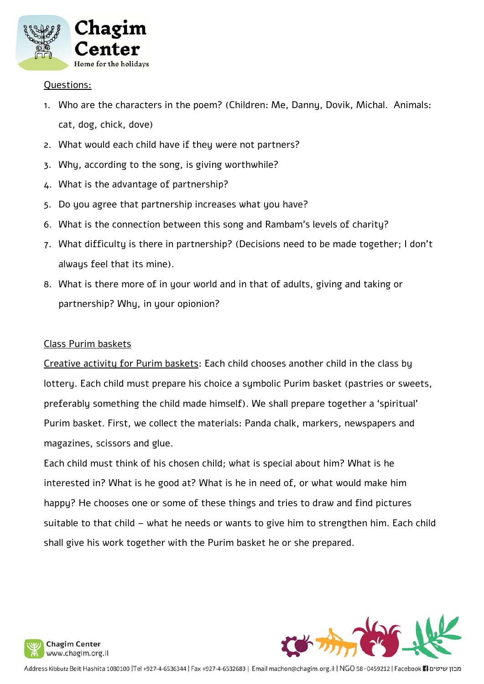

#### Questions:

- 1. Who are the characters in the poem? (Children: Me, Danny, Dovik, Michal. Animals: cat, dog, chick, dove)
- 2. What would each child have if they were not partners?
- 3. Why, according to the song, is giving worthwhile?
- 4. What is the advantage of partnership?
- 5. Do you agree that partnership increases what you have?
- 6. What is the connection between this song and Rambam's levels of charity?
- 7. What difficulty is there in partnership? (Decisions need to be made together; I don't always feel that its mine).
- 8. What is there more of in your world and in that of adults, giving and taking or partnership? Why, in your opionion?

#### Class Purim baskets

Creative activity for Purim baskets: Each child chooses another child in the class by lottery. Each child must prepare his choice a symbolic Purim basket (pastries or sweets, preferably something the child made himself). We shall prepare together a 'spiritual' Purim basket. First, we collect the materials: Panda chalk, markers, newspapers and magazines, scissors and glue.

Each child must think of his chosen child; what is special about him? What is he interested in? What is he good at? What is he in need of, or what would make him happy? He chooses one or some of these things and tries to draw and find pictures suitable to that child – what he needs or wants to give him to strengthen him. Each child shall give his work together with the Purim basket he or she prepared.



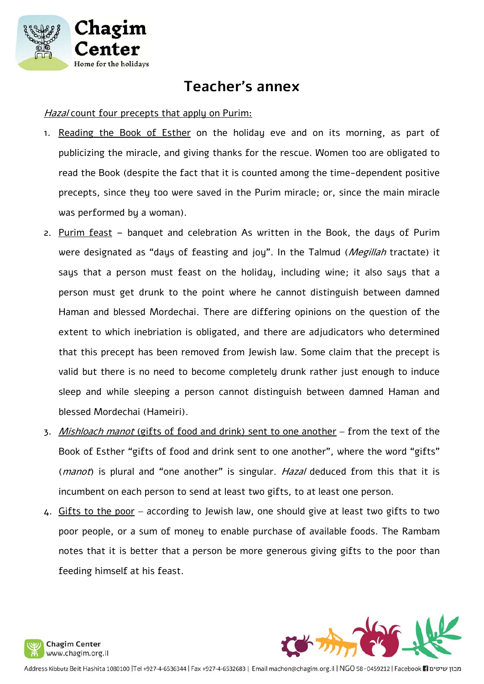

### **Teacher's annex**

#### Hazal count four precepts that apply on Purim:

- 1. Reading the Book of Esther on the holiday eve and on its morning, as part of publicizing the miracle, and giving thanks for the rescue. Women too are obligated to read the Book (despite the fact that it is counted among the time-dependent positive precepts, since they too were saved in the Purim miracle; or, since the main miracle was performed by a woman).
- 2. Purim feast banquet and celebration As written in the Book, the days of Purim were designated as "days of feasting and joy". In the Talmud (*Megillah* tractate) it says that a person must feast on the holiday, including wine; it also says that a person must get drunk to the point where he cannot distinguish between damned Haman and blessed Mordechai. There are differing opinions on the question of the extent to which inebriation is obligated, and there are adjudicators who determined that this precept has been removed from Jewish law. Some claim that the precept is valid but there is no need to become completely drunk rather just enough to induce sleep and while sleeping a person cannot distinguish between damned Haman and blessed Mordechai (Hameiri).
- 3. Mishloach manot (gifts of food and drink) sent to one another from the text of the Book of Esther "gifts of food and drink sent to one another", where the word "gifts" (*manot*) is plural and "one another" is singular. Hazal deduced from this that it is incumbent on each person to send at least two gifts, to at least one person.
- 4. Gifts to the poor according to Jewish law, one should give at least two gifts to two poor people, or a sum of money to enable purchase of available foods. The Rambam notes that it is better that a person be more generous giving gifts to the poor than feeding himself at his feast.



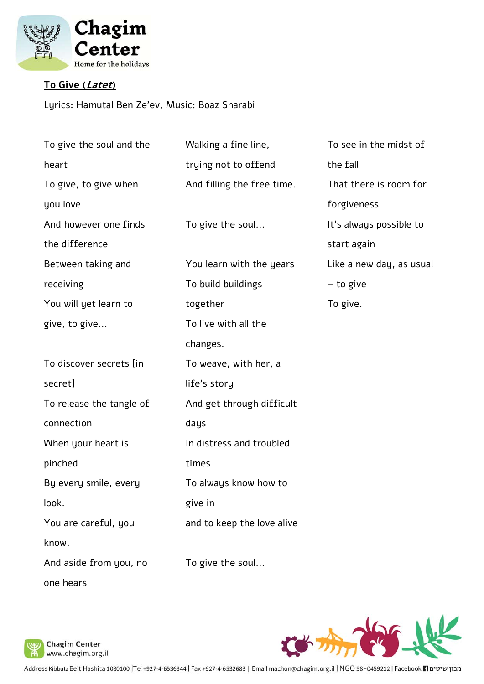

### **To Give (Latet)**

Lyrics: Hamutal Ben Ze'ev, Music: Boaz Sharabi

| To give the soul and the | Walking a fine line,       | To see in the midst of   |
|--------------------------|----------------------------|--------------------------|
| heart                    | trying not to offend       | the fall                 |
| To give, to give when    | And filling the free time. | That there is room for   |
| you love                 |                            | forgiveness              |
| And however one finds    | To give the soul           | It's always possible to  |
| the difference           |                            | start again              |
| Between taking and       | You learn with the years   | Like a new day, as usual |
| receiving                | To build buildings         | - to give                |
| You will yet learn to    | together                   | To give.                 |
| give, to give            | To live with all the       |                          |
|                          | changes.                   |                          |
| To discover secrets [in  | To weave, with her, a      |                          |
| secret]                  | life's story               |                          |
| To release the tangle of | And get through difficult  |                          |
| connection               | days                       |                          |
| When your heart is       | In distress and troubled   |                          |
| pinched                  | times                      |                          |
| By every smile, every    | To always know how to      |                          |
| look.                    | give in                    |                          |
| You are careful, you     | and to keep the love alive |                          |
| know,                    |                            |                          |
| And aside from you, no   | To give the soul           |                          |
| one hears                |                            |                          |